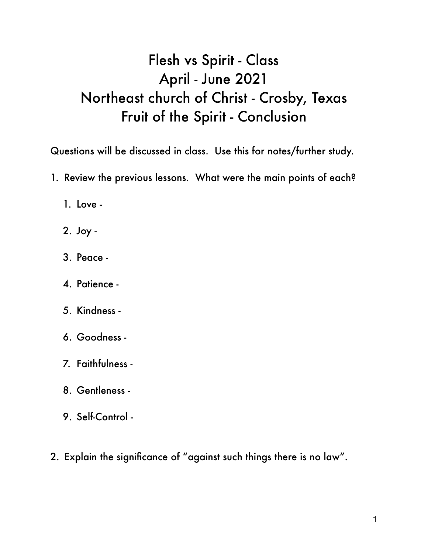## Flesh vs Spirit - Class April - June 2021 Northeast church of Christ - Crosby, Texas Fruit of the Spirit - Conclusion

Questions will be discussed in class. Use this for notes/further study.

- 1. Review the previous lessons. What were the main points of each?
	- 1. Love -
	- 2. Joy -
	- 3. Peace -
	- 4. Patience -
	- 5. Kindness -
	- 6. Goodness -
	- 7. Faithfulness -
	- 8. Gentleness -
	- 9. Self-Control -
- 2. Explain the significance of "against such things there is no law".